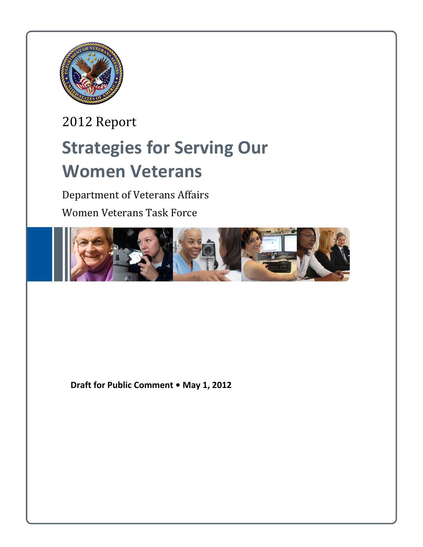

2012 Report **Strategies for Serving Our Women Veterans** 

Department of Veterans Affairs

Women Veterans Task Force



**Draft for Public Comment • May 1, 2012**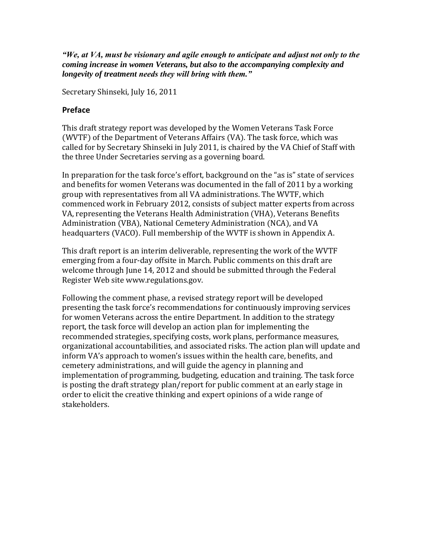*"We, at VA, must be visionary and agile enough to anticipate and adjust not only to the coming increase in women Veterans, but also to the accompanying complexity and longevity of treatment needs they will bring with them."*

Secretary Shinseki, July 16, 2011

#### **Preface**

This draft strategy report was developed by the Women Veterans Task Force (WVTF) of the Department of Veterans Affairs (VA). The task force, which was called for by Secretary Shinseki in July 2011, is chaired by the VA Chief of Staff with the three Under Secretaries serving as a governing board.

In preparation for the task force's effort, background on the "as is" state of services and benefits for women Veterans was documented in the fall of 2011 by a working group with representatives from all VA administrations. The WVTF, which commenced work in February 2012, consists of subject matter experts from across VA, representing the Veterans Health Administration (VHA), Veterans Benefits Administration (VBA), National Cemetery Administration (NCA), and VA headquarters (VACO). Full membership of the WVTF is shown in Appendix A.

This draft report is an interim deliverable, representing the work of the WVTF emerging from a four-day offsite in March. Public comments on this draft are welcome through June 14, 2012 and should be submitted through the Federal Register Web site www.regulations.gov.

Following the comment phase, a revised strategy report will be developed presenting the task force's recommendations for continuously improving services for women Veterans across the entire Department. In addition to the strategy report, the task force will develop an action plan for implementing the recommended strategies, specifying costs, work plans, performance measures, organizational accountabilities, and associated risks. The action plan will update and inform VA's approach to women's issues within the health care, benefits, and cemetery administrations, and will guide the agency in planning and implementation of programming, budgeting, education and training. The task force is posting the draft strategy plan/report for public comment at an early stage in order to elicit the creative thinking and expert opinions of a wide range of stakeholders.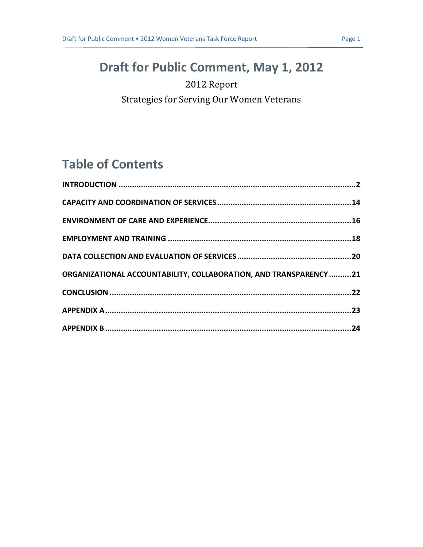# **Draft for Public Comment, May 1, 2012**

### 2012 Report

Strategies for Serving Our Women Veterans

# **Table of Contents**

| ORGANIZATIONAL ACCOUNTABILITY, COLLABORATION, AND TRANSPARENCY 21 |  |
|-------------------------------------------------------------------|--|
|                                                                   |  |
|                                                                   |  |
|                                                                   |  |
|                                                                   |  |
|                                                                   |  |
|                                                                   |  |
|                                                                   |  |
|                                                                   |  |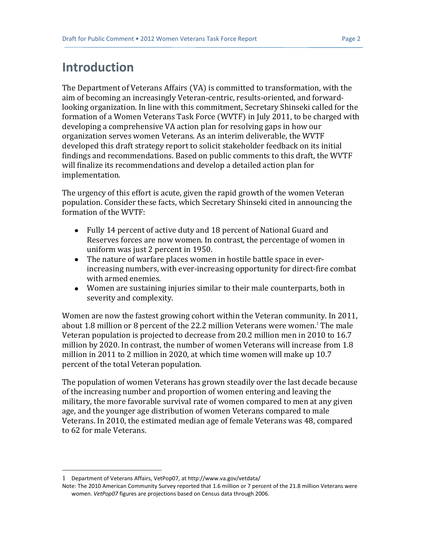## <span id="page-3-0"></span>**Introduction**

The Department of Veterans Affairs (VA) is committed to transformation, with the aim of becoming an increasingly Veteran-centric, results-oriented, and forwardlooking organization. In line with this commitment, Secretary Shinseki called for the formation of a Women Veterans Task Force (WVTF) in July 2011, to be charged with developing a comprehensive VA action plan for resolving gaps in how our organization serves women Veterans. As an interim deliverable, the WVTF developed this draft strategy report to solicit stakeholder feedback on its initial findings and recommendations. Based on public comments to this draft, the WVTF will finalize its recommendations and develop a detailed action plan for implementation.

The urgency of this effort is acute, given the rapid growth of the women Veteran population. Consider these facts, which Secretary Shinseki cited in announcing the formation of the WVTF:

- Fully 14 percent of active duty and 18 percent of National Guard and Reserves forces are now women. In contrast, the percentage of women in uniform was just 2 percent in 1950.
- The nature of warfare places women in hostile battle space in everincreasing numbers, with ever-increasing opportunity for direct-fire combat with armed enemies.
- Women are sustaining injuries similar to their male counterparts, both in severity and complexity.

Women are now the fastest growing cohort within the Veteran community. In 2011, about 1.8 million or 8 percent of the 22.2 million Veterans were women.<sup>1</sup> The male Veteran population is projected to decrease from 20.2 million men in 2010 to 16.7 million by 2020. In contrast, the number of women Veterans will increase from 1.8 million in 2011 to 2 million in 2020, at which time women will make up 10.7 percent of the total Veteran population.

The population of women Veterans has grown steadily over the last decade because of the increasing number and proportion of women entering and leaving the military, the more favorable survival rate of women compared to men at any given age, and the younger age distribution of women Veterans compared to male Veterans. In 2010, the estimated median age of female Veterans was 48, compared to 62 for male Veterans.

<sup>1</sup> Department of Veterans Affairs, VetPop07, a[t http://www.va.gov/vetdata/](http://www.va.gov/vetdata/)

Note: The 2010 American Community Survey reported that 1.6 million or 7 percent of the 21.8 million Veterans were women. *VetPop07* figures are projections based on Census data through 2006.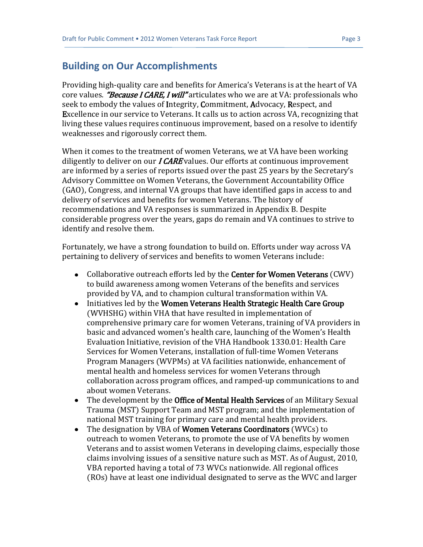#### **Building on Our Accomplishments**

Providing high-quality care and benefits for America's Veterans is at the heart of VA core values. "Because I CARE, I will" articulates who we are at VA: professionals who seek to embody the values of Integrity, Commitment, Advocacy, Respect, and Excellence in our service to Veterans. It calls us to action across VA, recognizing that living these values requires continuous improvement, based on a resolve to identify weaknesses and rigorously correct them.

When it comes to the treatment of women Veterans, we at VA have been working diligently to deliver on our  $ICARE$  values. Our efforts at continuous improvement are informed by a series of reports issued over the past 25 years by the Secretary's Advisory Committee on Women Veterans, the Government Accountability Office (GAO), Congress, and internal VA groups that have identified gaps in access to and delivery of services and benefits for women Veterans. The history of recommendations and VA responses is summarized in Appendix B. Despite considerable progress over the years, gaps do remain and VA continues to strive to identify and resolve them.

Fortunately, we have a strong foundation to build on. Efforts under way across VA pertaining to delivery of services and benefits to women Veterans include:

- Collaborative outreach efforts led by the **Center for Women Veterans** (CWV) to build awareness among women Veterans of the benefits and services provided by VA, and to champion cultural transformation within VA.
- Initiatives led by the Women Veterans Health Strategic Health Care Group (WVHSHG) within VHA that have resulted in implementation of comprehensive primary care for women Veterans, training of VA providers in basic and advanced women's health care, launching of the Women's Health Evaluation Initiative, revision of the VHA Handbook 1330.01: Health Care Services for Women Veterans, installation of full-time Women Veterans Program Managers (WVPMs) at VA facilities nationwide, enhancement of mental health and homeless services for women Veterans through collaboration across program offices, and ramped-up communications to and about women Veterans.
- The development by the Office of Mental Health Services of an Military Sexual  $\bullet$ Trauma (MST) Support Team and MST program; and the implementation of national MST training for primary care and mental health providers.
- The designation by VBA of Women Veterans Coordinators (WVCs) to  $\bullet$ outreach to women Veterans, to promote the use of VA benefits by women Veterans and to assist women Veterans in developing claims, especially those claims involving issues of a sensitive nature such as MST. As of August, 2010, VBA reported having a total of 73 WVCs nationwide. All regional offices (ROs) have at least one individual designated to serve as the WVC and larger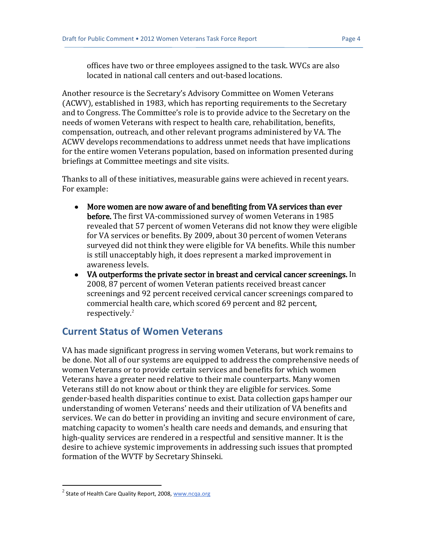offices have two or three employees assigned to the task. WVCs are also located in national call centers and out-based locations.

Another resource is the Secretary's Advisory Committee on Women Veterans (ACWV), established in 1983, which has reporting requirements to the Secretary and to Congress. The Committee's role is to provide advice to the Secretary on the needs of women Veterans with respect to health care, rehabilitation, benefits, compensation, outreach, and other relevant programs administered by VA. The ACWV develops recommendations to address unmet needs that have implications for the entire women Veterans population, based on information presented during briefings at Committee meetings and site visits.

Thanks to all of these initiatives, measurable gains were achieved in recent years. For example:

- More women are now aware of and benefiting from VA services than ever before. The first VA-commissioned survey of women Veterans in 1985 revealed that 57 percent of women Veterans did not know they were eligible for VA services or benefits. By 2009, about 30 percent of women Veterans surveyed did not think they were eligible for VA benefits. While this number is still unacceptably high, it does represent a marked improvement in awareness levels.
- VA outperforms the private sector in breast and cervical cancer screenings. In 2008, 87 percent of women Veteran patients received breast cancer screenings and 92 percent received cervical cancer screenings compared to commercial health care, which scored 69 percent and 82 percent, respectively.<sup>2</sup>

#### **Current Status of Women Veterans**

VA has made significant progress in serving women Veterans, but work remains to be done. Not all of our systems are equipped to address the comprehensive needs of women Veterans or to provide certain services and benefits for which women Veterans have a greater need relative to their male counterparts. Many women Veterans still do not know about or think they are eligible for services. Some gender-based health disparities continue to exist. Data collection gaps hamper our understanding of women Veterans' needs and their utilization of VA benefits and services. We can do better in providing an inviting and secure environment of care, matching capacity to women's health care needs and demands, and ensuring that high-quality services are rendered in a respectful and sensitive manner. It is the desire to achieve systemic improvements in addressing such issues that prompted formation of the WVTF by Secretary Shinseki.

 $^{2}$  State of Health Care Quality Report, 2008, [www.ncqa.org](http://www.ncqa.org/)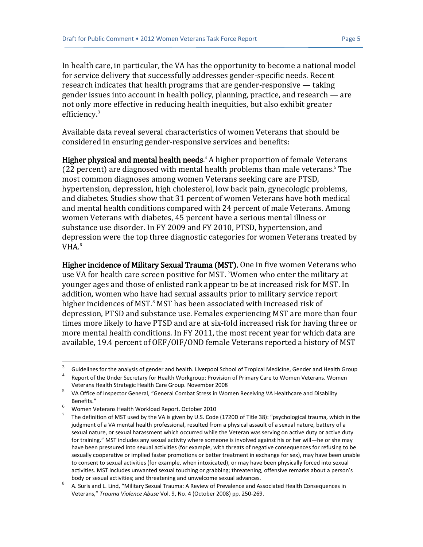In health care, in particular, the VA has the opportunity to become a national model for service delivery that successfully addresses gender-specific needs. Recent research indicates that health programs that are gender-responsive — taking gender issues into account in health policy, planning, practice, and research — are not only more effective in reducing health inequities, but also exhibit greater efficiency.<sup>3</sup>

Available data reveal several characteristics of women Veterans that should be considered in ensuring gender-responsive services and benefits:

Higher physical and mental health needs.<sup>4</sup> A higher proportion of female Veterans (22 percent) are diagnosed with mental health problems than male veterans.<sup>5</sup> The most common diagnoses among women Veterans seeking care are PTSD, hypertension, depression, high cholesterol, low back pain, gynecologic problems, and diabetes. Studies show that 31 percent of women Veterans have both medical and mental health conditions compared with 24 percent of male Veterans. Among women Veterans with diabetes, 45 percent have a serious mental illness or substance use disorder. In FY 2009 and FY 2010, PTSD, hypertension, and depression were the top three diagnostic categories for women Veterans treated by VHA.<sup>6</sup>

Higher incidence of Military Sexual Trauma (MST). One in five women Veterans who use VA for health care screen positive for MST. 'Women who enter the military at younger ages and those of enlisted rank appear to be at increased risk for MST. In addition, women who have had sexual assaults prior to military service report higher incidences of MST.<sup>8</sup> MST has been associated with increased risk of depression, PTSD and substance use. Females experiencing MST are more than four times more likely to have PTSD and are at six-fold increased risk for having three or more mental health conditions. In FY 2011, the most recent year for which data are available, 19.4 percent of OEF/OIF/OND female Veterans reported a history of MST

<sup>3</sup> Guidelines for the analysis of gender and health. Liverpool School of Tropical Medicine, Gender and Health Group

<sup>4</sup> Report of the Under Secretary for Health Workgroup: Provision of Primary Care to Women Veterans. Women Veterans Health Strategic Health Care Group. November 2008

<sup>5</sup> VA Office of Inspector General, "General Combat Stress in Women Receiving VA Healthcare and Disability Benefits."

<sup>6</sup> Women Veterans Health Workload Report. October 2010

<sup>7</sup> The definition of MST used by the VA is given by U.S. Code (1720D of Title 38): "psychological trauma, which in the judgment of a VA mental health professional, resulted from a physical assault of a sexual nature, battery of a sexual nature, or sexual harassment which occurred while the Veteran was serving on active duty or active duty for training." MST includes any sexual activity where someone is involved against his or her will—he or she may have been pressured into sexual activities (for example, with threats of negative consequences for refusing to be sexually cooperative or implied faster promotions or better treatment in exchange for sex), may have been unable to consent to sexual activities (for example, when intoxicated), or may have been physically forced into sexual activities. MST includes unwanted sexual touching or grabbing; threatening, offensive remarks about a person's body or sexual activities; and threatening and unwelcome sexual advances.

<sup>8</sup> A. Suris and L. Lind, "Military Sexual Trauma: A Review of Prevalence and Associated Health Consequences in Veterans," *Trauma Violence Abuse* Vol. 9, No. 4 (October 2008) pp. 250-269.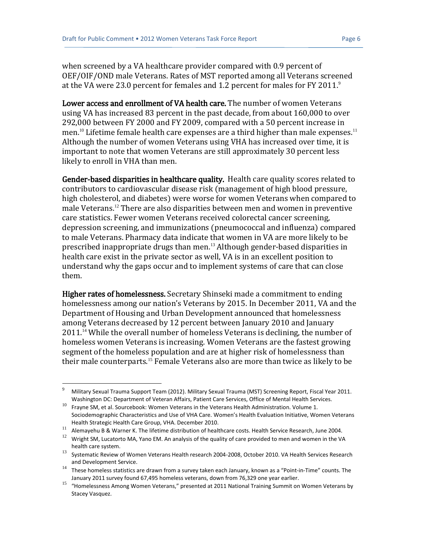when screened by a VA healthcare provider compared with 0.9 percent of OEF/OIF/OND male Veterans. Rates of MST reported among all Veterans screened at the VA were 23.0 percent for females and 1.2 percent for males for FY 2011.<sup>9</sup>

Lower access and enrollment of VA health care. The number of women Veterans using VA has increased 83 percent in the past decade, from about 160,000 to over 292,000 between FY 2000 and FY 2009, compared with a 50 percent increase in men.<sup>10</sup> Lifetime female health care expenses are a third higher than male expenses.<sup>11</sup> Although the number of women Veterans using VHA has increased over time, it is important to note that women Veterans are still approximately 30 percent less likely to enroll in VHA than men.

Gender-based disparities in healthcare quality. Health care quality scores related to contributors to cardiovascular disease risk (management of high blood pressure, high cholesterol, and diabetes) were worse for women Veterans when compared to male Veterans.<sup>12</sup> There are also disparities between men and women in preventive care statistics. Fewer women Veterans received colorectal cancer screening, depression screening, and immunizations (pneumococcal and influenza) compared to male Veterans. Pharmacy data indicate that women in VA are more likely to be prescribed inappropriate drugs than men.<sup>13</sup> Although gender-based disparities in health care exist in the private sector as well, VA is in an excellent position to understand why the gaps occur and to implement systems of care that can close them.

Higher rates of homelessness. Secretary Shinseki made a commitment to ending homelessness among our nation's Veterans by 2015. In December 2011, VA and the Department of Housing and Urban Development announced that homelessness among Veterans decreased by 12 percent between January 2010 and January 2011.<sup>14</sup> While the overall number of homeless Veterans is declining, the number of homeless women Veterans is increasing. Women Veterans are the fastest growing segment of the homeless population and are at higher risk of homelessness than their male counterparts.<sup>15</sup> Female Veterans also are more than twice as likely to be

<sup>9</sup> Military Sexual Trauma Support Team (2012). Military Sexual Trauma (MST) Screening Report, Fiscal Year 2011. Washington DC: Department of Veteran Affairs, Patient Care Services, Office of Mental Health Services.

<sup>&</sup>lt;sup>10</sup> Fravne SM, et al. Sourcebook: Women Veterans in the Veterans Health Administration. Volume 1. Sociodemographic Characteristics and Use of VHA Care. Women's Health Evaluation Initiative, Women Veterans Health Strategic Health Care Group, VHA. December 2010.

<sup>11</sup> Alemayehu B & Warner K. The lifetime distribution of healthcare costs. Health Service Research, June 2004.

<sup>&</sup>lt;sup>12</sup> Wright SM, Lucatorto MA, Yano EM. An analysis of the quality of care provided to men and women in the VA health care system.

<sup>13</sup> Systematic Review of Women Veterans Health research 2004-2008, October 2010. VA Health Services Research and Development Service.

<sup>14</sup> These homeless statistics are drawn from a survey taken each January, known as a "Point-in-Time" counts. The January 2011 survey found 67,495 homeless veterans, down from 76,329 one year earlier.

<sup>15</sup> "Homelessness Among Women Veterans," presented at 2011 National Training Summit on Women Veterans by Stacey Vasquez.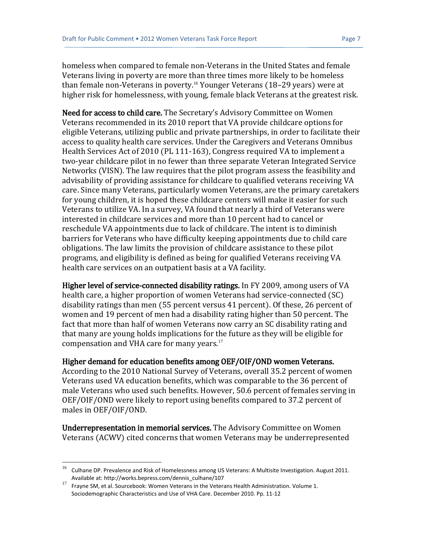homeless when compared to female non-Veterans in the United States and female Veterans living in poverty are more than three times more likely to be homeless than female non-Veterans in poverty.<sup>16</sup> Younger Veterans (18–29 years) were at higher risk for homelessness, with young, female black Veterans at the greatest risk.

Need for access to child care. The Secretary's Advisory Committee on Women Veterans recommended in its 2010 report that VA provide childcare options for eligible Veterans, utilizing public and private partnerships, in order to facilitate their access to quality health care services. Under the Caregivers and Veterans Omnibus Health Services Act of 2010 (PL 111-163), Congress required VA to implement a two-year childcare pilot in no fewer than three separate Veteran Integrated Service Networks (VISN). The law requires that the pilot program assess the feasibility and advisability of providing assistance for childcare to qualified veterans receiving VA care. Since many Veterans, particularly women Veterans, are the primary caretakers for young children, it is hoped these childcare centers will make it easier for such Veterans to utilize VA. In a survey, VA found that nearly a third of Veterans were interested in childcare services and more than 10 percent had to cancel or reschedule VA appointments due to lack of childcare. The intent is to diminish barriers for Veterans who have difficulty keeping appointments due to child care obligations. The law limits the provision of childcare assistance to these pilot programs, and eligibility is defined as being for qualified Veterans receiving VA health care services on an outpatient basis at a VA facility.

Higher level of service-connected disability ratings. In FY 2009, among users of VA health care, a higher proportion of women Veterans had service-connected (SC) disability ratings than men (55 percent versus 41 percent). Of these, 26 percent of women and 19 percent of men had a disability rating higher than 50 percent. The fact that more than half of women Veterans now carry an SC disability rating and that many are young holds implications for the future as they will be eligible for compensation and VHA care for many years. $17$ 

#### Higher demand for education benefits among OEF/OIF/OND women Veterans.

According to the 2010 National Survey of Veterans, overall 35.2 percent of women Veterans used VA education benefits, which was comparable to the 36 percent of male Veterans who used such benefits. However, 50.6 percent of females serving in OEF/OIF/OND were likely to report using benefits compared to 37.2 percent of males in OEF/OIF/OND.

Underrepresentation in memorial services. The Advisory Committee on Women Veterans (ACWV) cited concerns that women Veterans may be underrepresented

 $16$  Culhane DP. Prevalence and Risk of Homelessness among US Veterans: A Multisite Investigation. August 2011. Available at: http://works.bepress.com/dennis\_culhane/107

<sup>17</sup> Frayne SM, et al. Sourcebook: Women Veterans in the Veterans Health Administration. Volume 1. Sociodemographic Characteristics and Use of VHA Care. December 2010. Pp. 11-12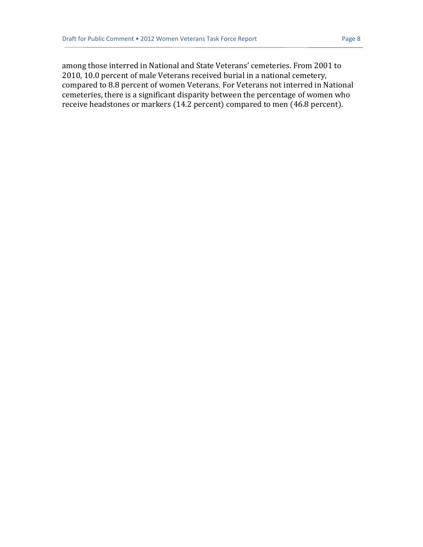among those interred in National and State Veterans' cemeteries. From 2001 to 2010, 10.0 percent of male Veterans received burial in a national cemetery, compared to 8.8 percent of women Veterans. For Veterans not interred in National cemeteries, there is a significant disparity between the percentage of women who receive headstones or markers (14.2 percent) compared to men (46.8 percent).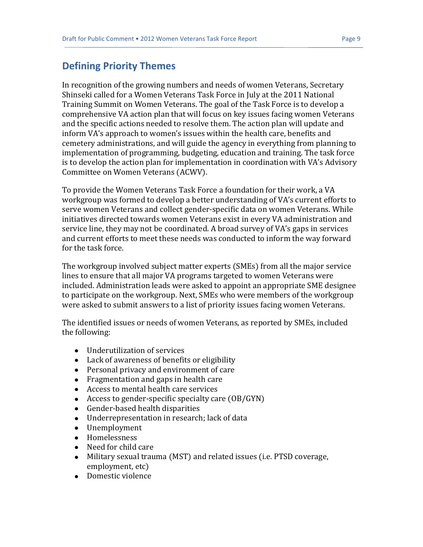### **Defining Priority Themes**

In recognition of the growing numbers and needs of women Veterans, Secretary Shinseki called for a Women Veterans Task Force in July at the 2011 National Training Summit on Women Veterans. The goal of the Task Force is to develop a comprehensive VA action plan that will focus on key issues facing women Veterans and the specific actions needed to resolve them. The action plan will update and inform VA's approach to women's issues within the health care, benefits and cemetery administrations, and will guide the agency in everything from planning to implementation of programming, budgeting, education and training. The task force is to develop the action plan for implementation in coordination with VA's Advisory Committee on Women Veterans (ACWV).

To provide the Women Veterans Task Force a foundation for their work, a VA workgroup was formed to develop a better understanding of VA's current efforts to serve women Veterans and collect gender-specific data on women Veterans. While initiatives directed towards women Veterans exist in every VA administration and service line, they may not be coordinated. A broad survey of VA's gaps in services and current efforts to meet these needs was conducted to inform the way forward for the task force.

The workgroup involved subject matter experts (SMEs) from all the major service lines to ensure that all major VA programs targeted to women Veterans were included. Administration leads were asked to appoint an appropriate SME designee to participate on the workgroup. Next, SMEs who were members of the workgroup were asked to submit answers to a list of priority issues facing women Veterans.

The identified issues or needs of women Veterans, as reported by SMEs, included the following:

- Underutilization of services
- Lack of awareness of benefits or eligibility
- Personal privacy and environment of care
- Fragmentation and gaps in health care
- Access to mental health care services
- Access to gender-specific specialty care (OB/GYN)
- Gender-based health disparities
- Underrepresentation in research; lack of data
- Unemployment
- Homelessness
- Need for child care
- Military sexual trauma (MST) and related issues (i.e. PTSD coverage, employment, etc)
- Domestic violence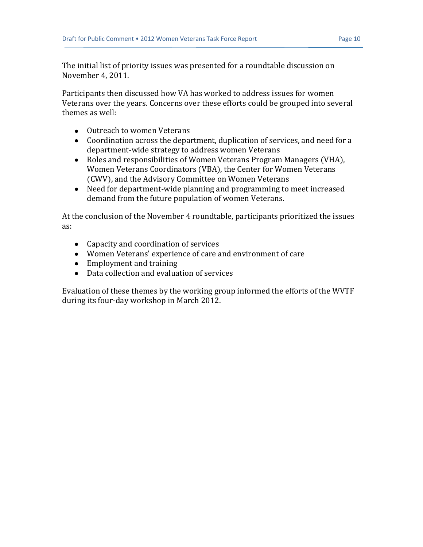The initial list of priority issues was presented for a roundtable discussion on November 4, 2011.

Participants then discussed how VA has worked to address issues for women Veterans over the years. Concerns over these efforts could be grouped into several themes as well:

- Outreach to women Veterans
- Coordination across the department, duplication of services, and need for a department-wide strategy to address women Veterans
- Roles and responsibilities of Women Veterans Program Managers (VHA), Women Veterans Coordinators (VBA), the Center for Women Veterans (CWV), and the Advisory Committee on Women Veterans
- Need for department-wide planning and programming to meet increased demand from the future population of women Veterans.

At the conclusion of the November 4 roundtable, participants prioritized the issues as:

- Capacity and coordination of services
- Women Veterans' experience of care and environment of care
- Employment and training
- Data collection and evaluation of services

Evaluation of these themes by the working group informed the efforts of the WVTF during its four-day workshop in March 2012.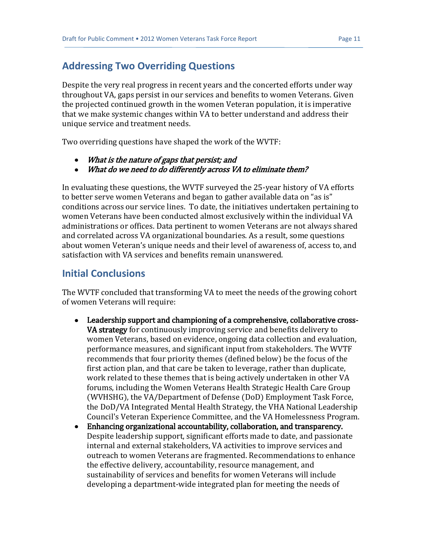### **Addressing Two Overriding Questions**

Despite the very real progress in recent years and the concerted efforts under way throughout VA, gaps persist in our services and benefits to women Veterans. Given the projected continued growth in the women Veteran population, it is imperative that we make systemic changes within VA to better understand and address their unique service and treatment needs.

Two overriding questions have shaped the work of the WVTF:

- $\bullet$ What is the nature of gaps that persist; and
- What do we need to do differently across VA to eliminate them?  $\bullet$

In evaluating these questions, the WVTF surveyed the 25-year history of VA efforts to better serve women Veterans and began to gather available data on "as is" conditions across our service lines. To date, the initiatives undertaken pertaining to women Veterans have been conducted almost exclusively within the individual VA administrations or offices. Data pertinent to women Veterans are not always shared and correlated across VA organizational boundaries. As a result, some questions about women Veteran's unique needs and their level of awareness of, access to, and satisfaction with VA services and benefits remain unanswered.

#### **Initial Conclusions**

The WVTF concluded that transforming VA to meet the needs of the growing cohort of women Veterans will require:

- Leadership support and championing of a comprehensive, collaborative cross-VA strategy for continuously improving service and benefits delivery to women Veterans, based on evidence, ongoing data collection and evaluation, performance measures, and significant input from stakeholders. The WVTF recommends that four priority themes (defined below) be the focus of the first action plan, and that care be taken to leverage, rather than duplicate, work related to these themes that is being actively undertaken in other VA forums, including the Women Veterans Health Strategic Health Care Group (WVHSHG), the VA/Department of Defense (DoD) Employment Task Force, the DoD/VA Integrated Mental Health Strategy, the VHA National Leadership Council's Veteran Experience Committee, and the VA Homelessness Program.
- Enhancing organizational accountability, collaboration, and transparency. Despite leadership support, significant efforts made to date, and passionate internal and external stakeholders, VA activities to improve services and outreach to women Veterans are fragmented. Recommendations to enhance the effective delivery, accountability, resource management, and sustainability of services and benefits for women Veterans will include developing a department-wide integrated plan for meeting the needs of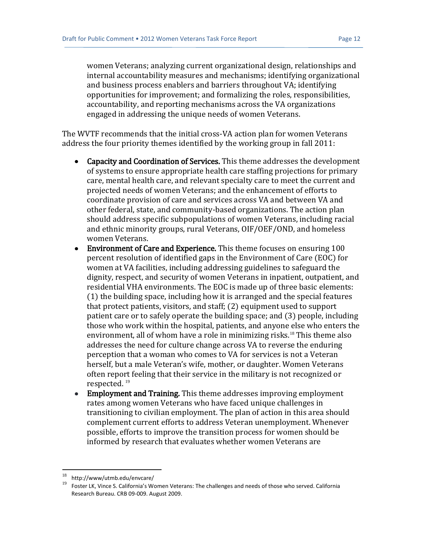women Veterans; analyzing current organizational design, relationships and internal accountability measures and mechanisms; identifying organizational and business process enablers and barriers throughout VA; identifying opportunities for improvement; and formalizing the roles, responsibilities, accountability, and reporting mechanisms across the VA organizations engaged in addressing the unique needs of women Veterans.

The WVTF recommends that the initial cross-VA action plan for women Veterans address the four priority themes identified by the working group in fall 2011:

- Capacity and Coordination of Services. This theme addresses the development of systems to ensure appropriate health care staffing projections for primary care, mental health care, and relevant specialty care to meet the current and projected needs of women Veterans; and the enhancement of efforts to coordinate provision of care and services across VA and between VA and other federal, state, and community-based organizations. The action plan should address specific subpopulations of women Veterans, including racial and ethnic minority groups, rural Veterans, OIF/OEF/OND, and homeless women Veterans.
- Environment of Care and Experience. This theme focuses on ensuring 100 percent resolution of identified gaps in the Environment of Care (EOC) for women at VA facilities, including addressing guidelines to safeguard the dignity, respect, and security of women Veterans in inpatient, outpatient, and residential VHA environments. The EOC is made up of three basic elements: (1) the building space, including how it is arranged and the special features that protect patients, visitors, and staff; (2) equipment used to support patient care or to safely operate the building space; and (3) people, including those who work within the hospital, patients, and anyone else who enters the environment, all of whom have a role in minimizing risks.<sup>18</sup> This theme also addresses the need for culture change across VA to reverse the enduring perception that a woman who comes to VA for services is not a Veteran herself, but a male Veteran's wife, mother, or daughter. Women Veterans often report feeling that their service in the military is not recognized or respected. <sup>19</sup>
- Employment and Training. This theme addresses improving employment rates among women Veterans who have faced unique challenges in transitioning to civilian employment. The plan of action in this area should complement current efforts to address Veteran unemployment. Whenever possible, efforts to improve the transition process for women should be informed by research that evaluates whether women Veterans are

l

<sup>18</sup> http://www/utmb.edu/envcare/

<sup>19</sup> Foster LK, Vince S. California's Women Veterans: The challenges and needs of those who served. California Research Bureau. CRB 09-009. August 2009.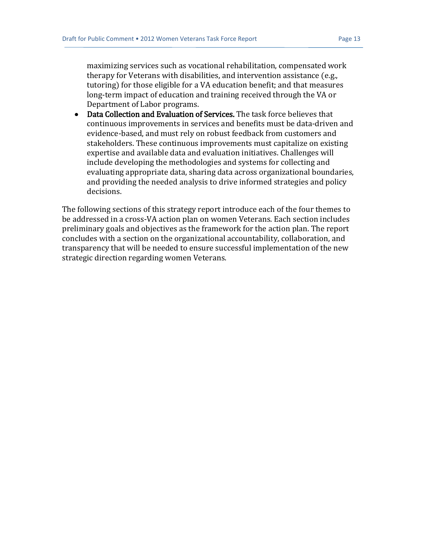maximizing services such as vocational rehabilitation, compensated work therapy for Veterans with disabilities, and intervention assistance (e.g., tutoring) for those eligible for a VA education benefit; and that measures long-term impact of education and training received through the VA or Department of Labor programs.

• Data Collection and Evaluation of Services. The task force believes that continuous improvements in services and benefits must be data-driven and evidence-based, and must rely on robust feedback from customers and stakeholders. These continuous improvements must capitalize on existing expertise and available data and evaluation initiatives. Challenges will include developing the methodologies and systems for collecting and evaluating appropriate data, sharing data across organizational boundaries, and providing the needed analysis to drive informed strategies and policy decisions.

The following sections of this strategy report introduce each of the four themes to be addressed in a cross-VA action plan on women Veterans. Each section includes preliminary goals and objectives as the framework for the action plan. The report concludes with a section on the organizational accountability, collaboration, and transparency that will be needed to ensure successful implementation of the new strategic direction regarding women Veterans.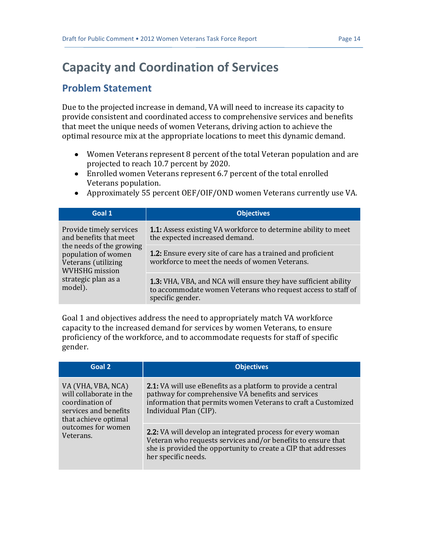## <span id="page-15-0"></span>**Capacity and Coordination of Services**

### **Problem Statement**

Due to the projected increase in demand, VA will need to increase its capacity to provide consistent and coordinated access to comprehensive services and benefits that meet the unique needs of women Veterans, driving action to achieve the optimal resource mix at the appropriate locations to meet this dynamic demand.

- Women Veterans represent 8 percent of the total Veteran population and are projected to reach 10.7 percent by 2020.
- Enrolled women Veterans represent 6.7 percent of the total enrolled Veterans population.
- Approximately 55 percent OEF/OIF/OND women Veterans currently use VA.

| Goal 1                                                                                                                                                                                 | <b>Objectives</b>                                                                                                                                          |
|----------------------------------------------------------------------------------------------------------------------------------------------------------------------------------------|------------------------------------------------------------------------------------------------------------------------------------------------------------|
| Provide timely services<br>and benefits that meet<br>the needs of the growing<br>population of women<br>Veterans (utilizing<br><b>WVHSHG</b> mission<br>strategic plan as a<br>model). | 1.1: Assess existing VA workforce to determine ability to meet<br>the expected increased demand.                                                           |
|                                                                                                                                                                                        | <b>1.2:</b> Ensure every site of care has a trained and proficient<br>workforce to meet the needs of women Veterans.                                       |
|                                                                                                                                                                                        | <b>1.3:</b> VHA, VBA, and NCA will ensure they have sufficient ability<br>to accommodate women Veterans who request access to staff of<br>specific gender. |

Goal 1 and objectives address the need to appropriately match VA workforce capacity to the increased demand for services by women Veterans, to ensure proficiency of the workforce, and to accommodate requests for staff of specific gender.

| Goal 2                                                                                                                                               | <b>Objectives</b>                                                                                                                                                                                                          |
|------------------------------------------------------------------------------------------------------------------------------------------------------|----------------------------------------------------------------------------------------------------------------------------------------------------------------------------------------------------------------------------|
| VA (VHA, VBA, NCA)<br>will collaborate in the<br>coordination of<br>services and benefits<br>that achieve optimal<br>outcomes for women<br>Veterans. | <b>2.1:</b> VA will use eBenefits as a platform to provide a central<br>pathway for comprehensive VA benefits and services<br>information that permits women Veterans to craft a Customized<br>Individual Plan (CIP).      |
|                                                                                                                                                      | <b>2.2:</b> VA will develop an integrated process for every woman<br>Veteran who requests services and/or benefits to ensure that<br>she is provided the opportunity to create a CIP that addresses<br>her specific needs. |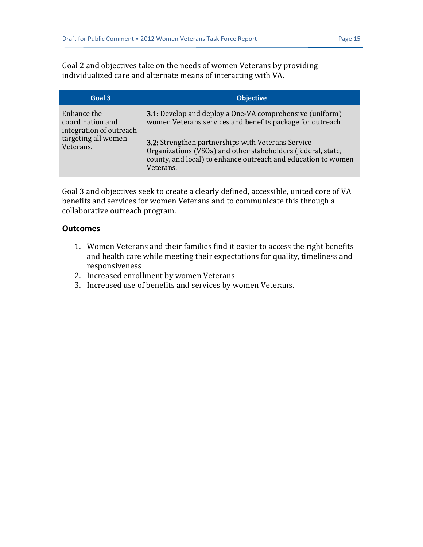Goal 2 and objectives take on the needs of women Veterans by providing individualized care and alternate means of interacting with VA.

| Goal 3                                                     | <b>Objective</b>                                                                                                                                                                                 |
|------------------------------------------------------------|--------------------------------------------------------------------------------------------------------------------------------------------------------------------------------------------------|
| Enhance the<br>coordination and<br>integration of outreach | <b>3.1:</b> Develop and deploy a One-VA comprehensive (uniform)<br>women Veterans services and benefits package for outreach                                                                     |
| targeting all women<br>Veterans.                           | 3.2: Strengthen partnerships with Veterans Service<br>Organizations (VSOs) and other stakeholders (federal, state,<br>county, and local) to enhance outreach and education to women<br>Veterans. |

Goal 3 and objectives seek to create a clearly defined, accessible, united core of VA benefits and services for women Veterans and to communicate this through a collaborative outreach program.

#### **Outcomes**

- 1. Women Veterans and their families find it easier to access the right benefits and health care while meeting their expectations for quality, timeliness and responsiveness
- 2. Increased enrollment by women Veterans
- 3. Increased use of benefits and services by women Veterans.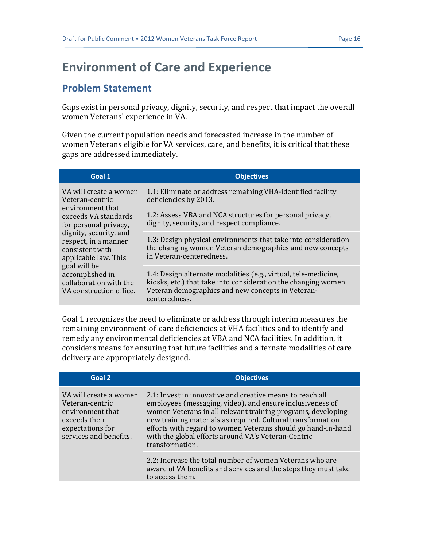## <span id="page-17-0"></span>**Environment of Care and Experience**

#### **Problem Statement**

Gaps exist in personal privacy, dignity, security, and respect that impact the overall women Veterans' experience in VA.

Given the current population needs and forecasted increase in the number of women Veterans eligible for VA services, care, and benefits, it is critical that these gaps are addressed immediately.

| Goal 1                                                                                                                                                                                                                                                                                              | <b>Objectives</b>                                                                                                                                                                                      |
|-----------------------------------------------------------------------------------------------------------------------------------------------------------------------------------------------------------------------------------------------------------------------------------------------------|--------------------------------------------------------------------------------------------------------------------------------------------------------------------------------------------------------|
| VA will create a women<br>Veteran-centric<br>environment that<br>exceeds VA standards<br>for personal privacy,<br>dignity, security, and<br>respect, in a manner<br>consistent with<br>applicable law. This<br>goal will be<br>accomplished in<br>collaboration with the<br>VA construction office. | 1.1: Eliminate or address remaining VHA-identified facility<br>deficiencies by 2013.                                                                                                                   |
|                                                                                                                                                                                                                                                                                                     | 1.2: Assess VBA and NCA structures for personal privacy,<br>dignity, security, and respect compliance.                                                                                                 |
|                                                                                                                                                                                                                                                                                                     | 1.3: Design physical environments that take into consideration<br>the changing women Veteran demographics and new concepts<br>in Veteran-centeredness.                                                 |
|                                                                                                                                                                                                                                                                                                     | 1.4: Design alternate modalities (e.g., virtual, tele-medicine,<br>kiosks, etc.) that take into consideration the changing women<br>Veteran demographics and new concepts in Veteran-<br>centeredness. |

Goal 1 recognizes the need to eliminate or address through interim measures the remaining environment-of-care deficiencies at VHA facilities and to identify and remedy any environmental deficiencies at VBA and NCA facilities. In addition, it considers means for ensuring that future facilities and alternate modalities of care delivery are appropriately designed.

| Goal 2                                                                                                                       | <b>Objectives</b>                                                                                                                                                                                                                                                                                                                                                                               |
|------------------------------------------------------------------------------------------------------------------------------|-------------------------------------------------------------------------------------------------------------------------------------------------------------------------------------------------------------------------------------------------------------------------------------------------------------------------------------------------------------------------------------------------|
| VA will create a women<br>Veteran-centric<br>environment that<br>exceeds their<br>expectations for<br>services and benefits. | 2.1: Invest in innovative and creative means to reach all<br>employees (messaging, video), and ensure inclusiveness of<br>women Veterans in all relevant training programs, developing<br>new training materials as required. Cultural transformation<br>efforts with regard to women Veterans should go hand-in-hand<br>with the global efforts around VA's Veteran-Centric<br>transformation. |
|                                                                                                                              | 2.2: Increase the total number of women Veterans who are<br>aware of VA benefits and services and the steps they must take<br>to access them.                                                                                                                                                                                                                                                   |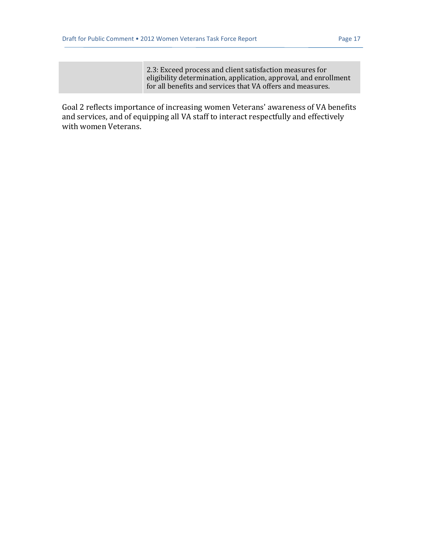2.3: Exceed process and client satisfaction measures for eligibility determination, application, approval, and enrollment for all benefits and services that VA offers and measures.

Goal 2 reflects importance of increasing women Veterans' awareness of VA benefits and services, and of equipping all VA staff to interact respectfully and effectively with women Veterans.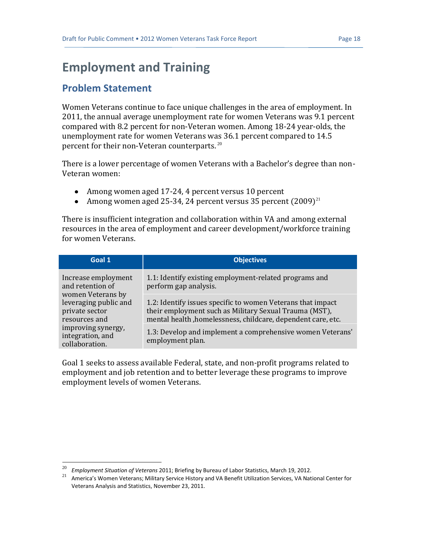## <span id="page-19-0"></span>**Employment and Training**

### **Problem Statement**

 $\overline{a}$ 

Women Veterans continue to face unique challenges in the area of employment. In 2011, the annual average unemployment rate for women Veterans was 9.1 percent compared with 8.2 percent for non-Veteran women. Among 18-24 year-olds, the unemployment rate for women Veterans was 36.1 percent compared to 14.5 percent for their non-Veteran counterparts. <sup>20</sup>

There is a lower percentage of women Veterans with a Bachelor's degree than non-Veteran women:

- Among women aged 17-24, 4 percent versus 10 percent
- Among women aged 25-34, 24 percent versus 35 percent  $(2009)^{21}$

There is insufficient integration and collaboration within VA and among external resources in the area of employment and career development/workforce training for women Veterans.

| Goal 1                                                                                                                                                                               | <b>Objectives</b>                                                                                                                                                                     |
|--------------------------------------------------------------------------------------------------------------------------------------------------------------------------------------|---------------------------------------------------------------------------------------------------------------------------------------------------------------------------------------|
| Increase employment<br>and retention of<br>women Veterans by<br>leveraging public and<br>private sector<br>resources and<br>improving synergy,<br>integration, and<br>collaboration. | 1.1: Identify existing employment-related programs and<br>perform gap analysis.                                                                                                       |
|                                                                                                                                                                                      | 1.2: Identify issues specific to women Veterans that impact<br>their employment such as Military Sexual Trauma (MST),<br>mental health, homelessness, childcare, dependent care, etc. |
|                                                                                                                                                                                      | 1.3: Develop and implement a comprehensive women Veterans'<br>employment plan.                                                                                                        |

Goal 1 seeks to assess available Federal, state, and non-profit programs related to employment and job retention and to better leverage these programs to improve employment levels of women Veterans.

<sup>20</sup> *Employment Situation of Veterans* 2011; Briefing by Bureau of Labor Statistics, March 19, 2012.

<sup>21</sup> America's Women Veterans; Military Service History and VA Benefit Utilization Services, VA National Center for Veterans Analysis and Statistics, November 23, 2011.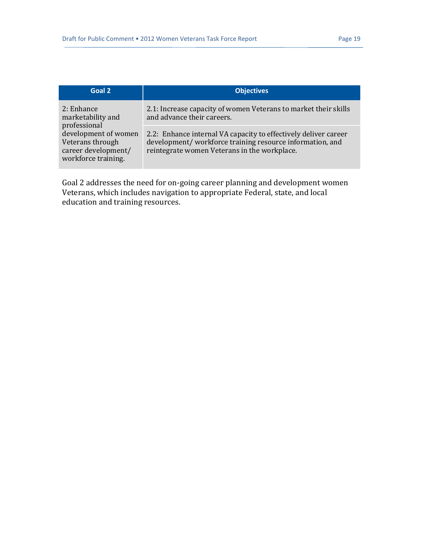| Goal 2                                                                                 | <b>Objectives</b>                                                                                                                                                           |
|----------------------------------------------------------------------------------------|-----------------------------------------------------------------------------------------------------------------------------------------------------------------------------|
| 2: Enhance<br>marketability and<br>professional                                        | 2.1: Increase capacity of women Veterans to market their skills<br>and advance their careers.                                                                               |
| development of women<br>Veterans through<br>career development/<br>workforce training. | 2.2: Enhance internal VA capacity to effectively deliver career<br>development/workforce training resource information, and<br>reintegrate women Veterans in the workplace. |

Goal 2 addresses the need for on-going career planning and development women Veterans, which includes navigation to appropriate Federal, state, and local education and training resources.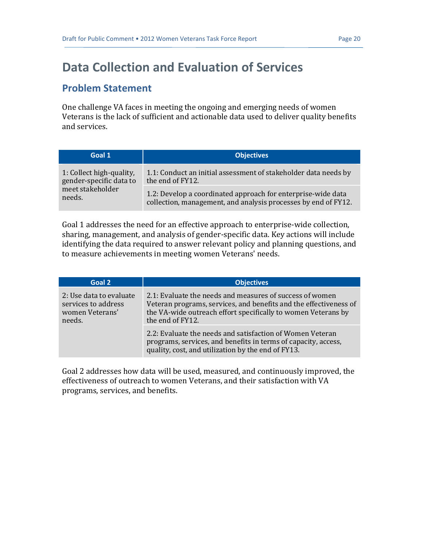## <span id="page-21-0"></span>**Data Collection and Evaluation of Services**

#### **Problem Statement**

One challenge VA faces in meeting the ongoing and emerging needs of women Veterans is the lack of sufficient and actionable data used to deliver quality benefits and services.

| Goal 1                   | <b>Objectives</b>                                               |
|--------------------------|-----------------------------------------------------------------|
| 1: Collect high-quality, | 1.1: Conduct an initial assessment of stakeholder data needs by |
| gender-specific data to  | the end of FY12.                                                |
| meet stakeholder         | 1.2: Develop a coordinated approach for enterprise-wide data    |
| needs.                   | collection, management, and analysis processes by end of FY12.  |

Goal 1 addresses the need for an effective approach to enterprise-wide collection, sharing, management, and analysis of gender-specific data. Key actions will include identifying the data required to answer relevant policy and planning questions, and to measure achievements in meeting women Veterans' needs.

| Goal 2                                                                      | <b>Objectives</b>                                                                                                                                                                                                  |
|-----------------------------------------------------------------------------|--------------------------------------------------------------------------------------------------------------------------------------------------------------------------------------------------------------------|
| 2: Use data to evaluate<br>services to address<br>women Veterans'<br>needs. | 2.1: Evaluate the needs and measures of success of women<br>Veteran programs, services, and benefits and the effectiveness of<br>the VA-wide outreach effort specifically to women Veterans by<br>the end of FY12. |
|                                                                             | 2.2: Evaluate the needs and satisfaction of Women Veteran<br>programs, services, and benefits in terms of capacity, access,<br>quality, cost, and utilization by the end of FY13.                                  |

Goal 2 addresses how data will be used, measured, and continuously improved, the effectiveness of outreach to women Veterans, and their satisfaction with VA programs, services, and benefits.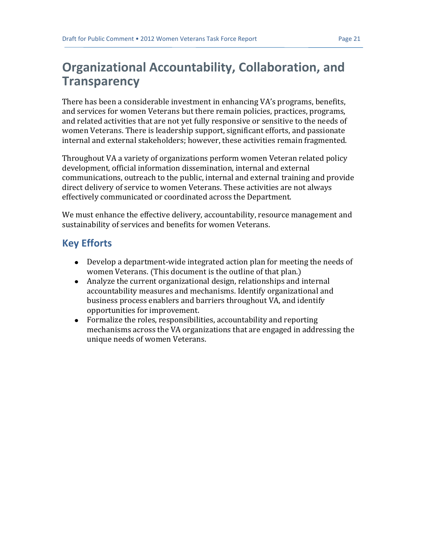## <span id="page-22-0"></span>**Organizational Accountability, Collaboration, and Transparency**

There has been a considerable investment in enhancing VA's programs, benefits, and services for women Veterans but there remain policies, practices, programs, and related activities that are not yet fully responsive or sensitive to the needs of women Veterans. There is leadership support, significant efforts, and passionate internal and external stakeholders; however, these activities remain fragmented.

Throughout VA a variety of organizations perform women Veteran related policy development, official information dissemination, internal and external communications, outreach to the public, internal and external training and provide direct delivery of service to women Veterans. These activities are not always effectively communicated or coordinated across the Department.

We must enhance the effective delivery, accountability, resource management and sustainability of services and benefits for women Veterans.

### **Key Efforts**

- Develop a department-wide integrated action plan for meeting the needs of women Veterans. (This document is the outline of that plan.)
- Analyze the current organizational design, relationships and internal accountability measures and mechanisms. Identify organizational and business process enablers and barriers throughout VA, and identify opportunities for improvement.
- Formalize the roles, responsibilities, accountability and reporting mechanisms across the VA organizations that are engaged in addressing the unique needs of women Veterans.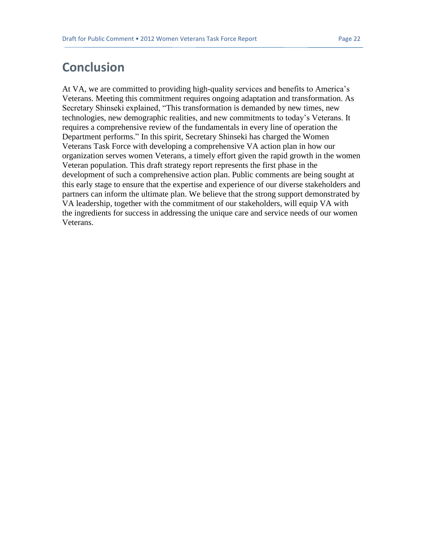### <span id="page-23-0"></span>**Conclusion**

At VA, we are committed to providing high-quality services and benefits to America's Veterans. Meeting this commitment requires ongoing adaptation and transformation. As Secretary Shinseki explained, "This transformation is demanded by new times, new technologies, new demographic realities, and new commitments to today's Veterans. It requires a comprehensive review of the fundamentals in every line of operation the Department performs." In this spirit, Secretary Shinseki has charged the Women Veterans Task Force with developing a comprehensive VA action plan in how our organization serves women Veterans, a timely effort given the rapid growth in the women Veteran population. This draft strategy report represents the first phase in the development of such a comprehensive action plan. Public comments are being sought at this early stage to ensure that the expertise and experience of our diverse stakeholders and partners can inform the ultimate plan. We believe that the strong support demonstrated by VA leadership, together with the commitment of our stakeholders, will equip VA with the ingredients for success in addressing the unique care and service needs of our women Veterans.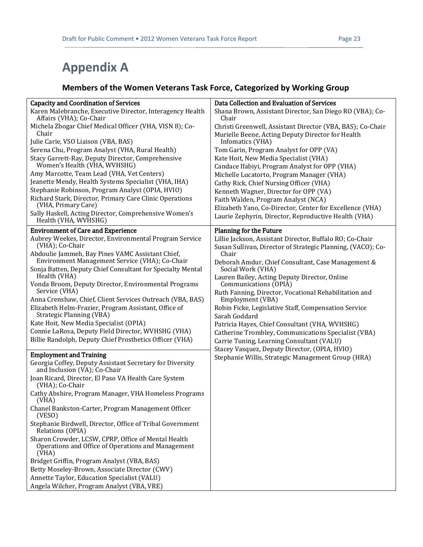# <span id="page-24-0"></span>**Appendix A**

### **Members of the Women Veterans Task Force, Categorized by Working Group**

| <b>Capacity and Coordination of Services</b>                                                                       | Data Collection and Evaluation of Services                                                                              |
|--------------------------------------------------------------------------------------------------------------------|-------------------------------------------------------------------------------------------------------------------------|
| Karen Malebranche, Executive Director, Interagency Health<br>Affairs (VHA); Co-Chair                               | Shana Brown, Assistant Director, San Diego RO (VBA); Co-<br>Chair                                                       |
| Michela Zbogar Chief Medical Officer (VHA, VISN 8); Co-<br>Chair                                                   | Christi Greenwell, Assistant Director (VBA, BAS); Co-Chair<br>Murielle Beene, Acting Deputy Director for Health         |
| Julie Carie, VSO Liaison (VBA, BAS)                                                                                | Infomatics (VHA)                                                                                                        |
| Serena Chu, Program Analyst (VHA, Rural Health)                                                                    | Tom Garin, Program Analyst for OPP (VA)                                                                                 |
| Stacy Garrett-Ray, Deputy Director, Comprehensive<br>Women's Health (VHA, WVHSHG)                                  | Kate Hoit, New Media Specialist (VHA)                                                                                   |
| Amy Marcotte, Team Lead (VHA, Vet Centers)                                                                         | Candace Ifabiyi, Program Analyst for OPP (VHA)<br>Michelle Lucatorto, Program Manager (VHA)                             |
| Jeanette Mendy, Health Systems Specialist (VHA, IHA)                                                               | Cathy Rick, Chief Nursing Officer (VHA)                                                                                 |
| Stephanie Robinson, Program Analyst (OPIA, HVIO)                                                                   | Kenneth Wagner, Director for OPP (VA)                                                                                   |
| Richard Stark, Director, Primary Care Clinic Operations<br>(VHA, Primary Care)                                     | Faith Walden, Program Analyst (NCA)<br>Elizabeth Yano, Co-Director, Center for Excellence (VHA)                         |
| Sally Haskell, Acting Director, Comprehensive Women's<br>Health (VHA, WVHSHG)                                      | Laurie Zephyrin, Director, Reproductive Health (VHA)                                                                    |
| <b>Environment of Care and Experience</b>                                                                          | <b>Planning for the Future</b>                                                                                          |
| Aubrey Weekes, Director, Environmental Program Service<br>(VHA); Co-Chair                                          | Lillie Jackson, Assistant Director, Buffalo RO; Co-Chair<br>Susan Sullivan, Director of Strategic Planning, (VACO); Co- |
| Abdoulie Jammeh, Bay Pines VAMC Assistant Chief,<br>Environment Management Service (VHA); Co-Chair                 | Chair<br>Deborah Amdur, Chief Consultant, Case Management &                                                             |
| Sonja Batten, Deputy Chief Consultant for Specialty Mental<br>Health (VHA)                                         | Social Work (VHA)<br>Lauren Bailey, Acting Deputy Director, Online                                                      |
| Vonda Broom, Deputy Director, Environmental Programs<br>Service (VHA)                                              | Communications (OPIA)<br>Ruth Fanning, Director, Vocational Rehabilitation and                                          |
| Anna Crenshaw, Chief, Client Services Outreach (VBA, BAS)                                                          | Employment (VBA)                                                                                                        |
| Elizabeth Helm-Frazier, Program Assistant, Office of<br>Strategic Planning (VBA)                                   | Robin Ficke, Legislative Staff, Compensation Service<br>Sarah Goddard                                                   |
| Kate Hoit, New Media Specialist (OPIA)                                                                             | Patricia Hayes, Chief Consultant (VHA, WVHSHG)                                                                          |
| Connie LaRosa, Deputy Field Director, WVHSHG (VHA)                                                                 | Catherine Trombley, Communications Specialist (VBA)                                                                     |
| Billie Randolph, Deputy Chief Prosthetics Officer (VHA)                                                            | Carrie Tuning, Learning Consultant (VALU)<br>Stacey Vasquez, Deputy Director, (OPIA, HVIO)                              |
| <b>Employment and Training</b>                                                                                     | Stephanie Willis, Strategic Management Group (HRA)                                                                      |
| Georgia Coffey, Deputy Assistant Secretary for Diversity<br>and Inclusion (VA); Co-Chair                           |                                                                                                                         |
| Joan Ricard, Director, El Paso VA Health Care System<br>(VHA); Co-Chair                                            |                                                                                                                         |
| Cathy Abshire, Program Manager, VHA Homeless Programs<br>(VHA)                                                     |                                                                                                                         |
| Chanel Bankston-Carter, Program Management Officer<br>(VESO)                                                       |                                                                                                                         |
| Stephanie Birdwell, Director, Office of Tribal Government<br>Relations (OPIA)                                      |                                                                                                                         |
| Sharon Crowder, LCSW, CPRP, Office of Mental Health<br>Operations and Office of Operations and Management<br>(VHA) |                                                                                                                         |
| Bridget Griffin, Program Analyst (VBA, BAS)                                                                        |                                                                                                                         |
| Betty Moseley-Brown, Associate Director (CWV)                                                                      |                                                                                                                         |
| Annette Taylor, Education Specialist (VALU)<br>Angela Wilcher, Program Analyst (VBA, VRE)                          |                                                                                                                         |
|                                                                                                                    |                                                                                                                         |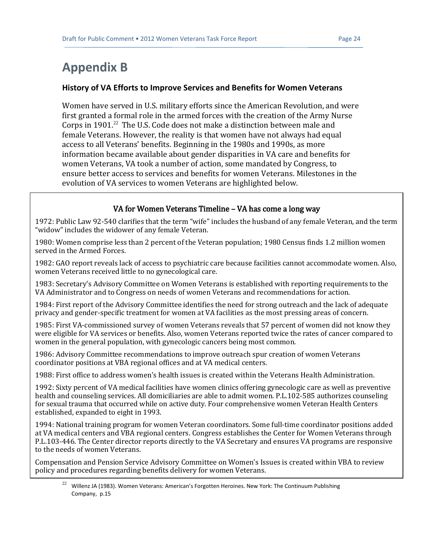# <span id="page-25-0"></span>**Appendix B**

#### **History of VA Efforts to Improve Services and Benefits for Women Veterans**

Women have served in U.S. military efforts since the American Revolution, and were first granted a formal role in the armed forces with the creation of the Army Nurse Corps in  $1901<sup>22</sup>$  The U.S. Code does not make a distinction between male and female Veterans. However, the reality is that women have not always had equal access to all Veterans' benefits. Beginning in the 1980s and 1990s, as more information became available about gender disparities in VA care and benefits for women Veterans, VA took a number of action, some mandated by Congress, to ensure better access to services and benefits for women Veterans. Milestones in the evolution of VA services to women Veterans are highlighted below.

#### VA for Women Veterans Timeline – VA has come a long way

1972: Public Law 92-540 clarifies that the term "wife" includes the husband of any female Veteran, and the term "widow" includes the widower of any female Veteran.

1980: Women comprise less than 2 percent of the Veteran population; 1980 Census finds 1.2 million women served in the Armed Forces.

1982: GAO report reveals lack of access to psychiatric care because facilities cannot accommodate women. Also, women Veterans received little to no gynecological care.

1983: Secretary's Advisory Committee on Women Veterans is established with reporting requirements to the VA Administrator and to Congress on needs of women Veterans and recommendations for action.

1984: First report of the Advisory Committee identifies the need for strong outreach and the lack of adequate privacy and gender-specific treatment for women at VA facilities as the most pressing areas of concern.

1985: First VA-commissioned survey of women Veterans reveals that 57 percent of women did not know they were eligible for VA services or benefits. Also, women Veterans reported twice the rates of cancer compared to women in the general population, with gynecologic cancers being most common.

1986: Advisory Committee recommendations to improve outreach spur creation of women Veterans coordinator positions at VBA regional offices and at VA medical centers.

1988: First office to address women's health issues is created within the Veterans Health Administration.

1992: Sixty percent of VA medical facilities have women clinics offering gynecologic care as well as preventive health and counseling services. All domiciliaries are able to admit women. P.L.102-585 authorizes counseling for sexual trauma that occurred while on active duty. Four comprehensive women Veteran Health Centers established, expanded to eight in 1993.

1994: National training program for women Veteran coordinators. Some full-time coordinator positions added at VA medical centers and VBA regional centers. Congress establishes the Center for Women Veterans through P.L.103-446. The Center director reports directly to the VA Secretary and ensures VA programs are responsive to the needs of women Veterans.

Compensation and Pension Service Advisory Committee on Women's Issues is created within VBA to review policy and procedures regarding benefits delivery for women Veterans.

 $22$ <sup>22</sup> Willenz JA (1983). Women Veterans: American's Forgotten Heroines. New York: The Continuum Publishing Company, p.15